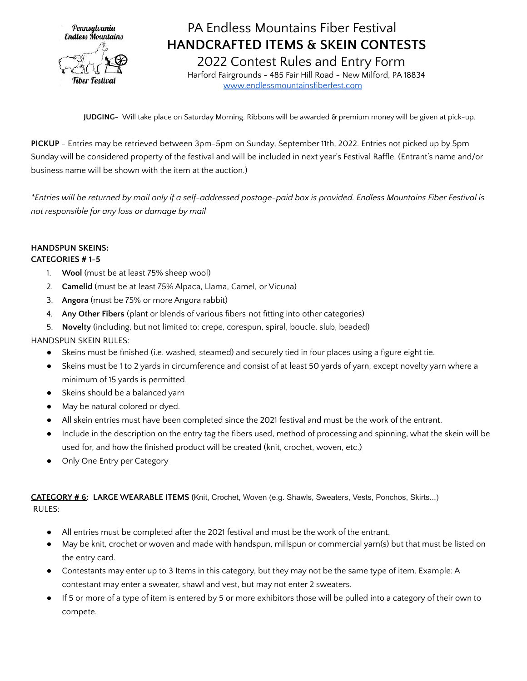

## PA Endless Mountains Fiber Festival **HANDCRAFTED ITEMS & SKEIN CONTESTS**

2022 Contest Rules and Entry Form Harford Fairgrounds - 485 Fair Hill Road - New Milford, PA 18834 [www.endlessmountainsfiberfest.com](http://www.endlessmountainsfiberfest.com/)

**JUDGING-** Will take place on Saturday Morning. Ribbons will be awarded & premium money will be given at pick-up.

**PICKUP** - Entries may be retrieved between 3pm-5pm on Sunday, September 11th, 2022. Entries not picked up by 5pm Sunday will be considered property of the festival and will be included in next year's Festival Raffle. (Entrant's name and/or business name will be shown with the item at the auction.)

\*Entries will be returned by mail only if a self-addressed postage-paid box is provided. Endless Mountains Fiber Festival is *not responsible for any loss or damage by mail*

#### **HANDSPUN SKEINS:**

#### **CATEGORIES # 1-5**

- 1. **Wool** (must be at least 75% sheep wool)
- 2. **Camelid** (must be at least 75% Alpaca, Llama, Camel, or Vicuna)
- 3. **Angora** (must be 75% or more Angora rabbit)
- 4. **Any Other Fibers** (plant or blends of various fibers not fitting into other categories)
- 5. **Novelty** (including, but not limited to: crepe, corespun, spiral, boucle, slub, beaded)

HANDSPUN SKEIN RULES:

- Skeins must be finished (i.e. washed, steamed) and securely tied in four places using a figure eight tie.
- Skeins must be 1 to 2 yards in circumference and consist of at least 50 yards of yarn, except novelty yarn where a minimum of 15 yards is permitted.
- Skeins should be a balanced yarn
- May be natural colored or dyed.
- All skein entries must have been completed since the 2021 festival and must be the work of the entrant.
- Include in the description on the entry tag the fibers used, method of processing and spinning, what the skein will be used for, and how the finished product will be created (knit, crochet, woven, etc.)
- Only One Entry per Category

**CATEGORY # 6: LARGE WEARABLE ITEMS (**Knit, Crochet, Woven (e.g. Shawls, Sweaters, Vests, Ponchos, Skirts...) RULES:

- All entries must be completed after the 2021 festival and must be the work of the entrant.
- May be knit, crochet or woven and made with handspun, millspun or commercial yarn(s) but that must be listed on the entry card.
- Contestants may enter up to 3 Items in this category, but they may not be the same type of item. Example: A contestant may enter a sweater, shawl and vest, but may not enter 2 sweaters.
- If 5 or more of a type of item is entered by 5 or more exhibitors those will be pulled into a category of their own to compete.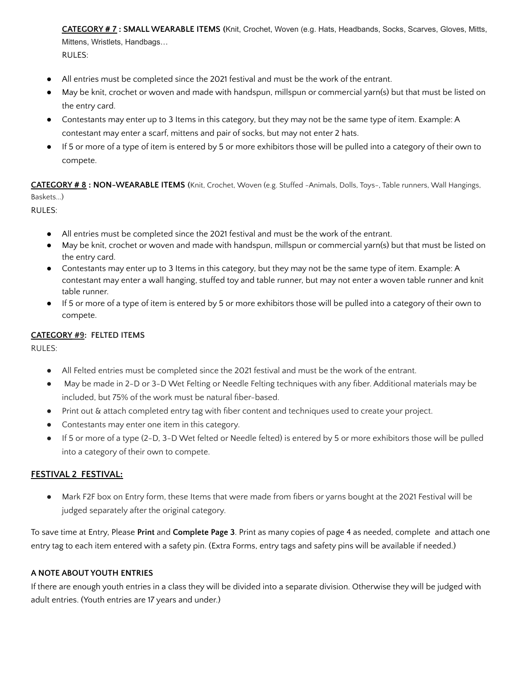**CATEGORY # 7 : SMALL WEARABLE ITEMS (**Knit, Crochet, Woven (e.g. Hats, Headbands, Socks, Scarves, Gloves, Mitts, Mittens, Wristlets, Handbags… RULES:

- All entries must be completed since the 2021 festival and must be the work of the entrant.
- May be knit, crochet or woven and made with handspun, millspun or commercial yarn(s) but that must be listed on the entry card.
- Contestants may enter up to 3 Items in this category, but they may not be the same type of item. Example: A contestant may enter a scarf, mittens and pair of socks, but may not enter 2 hats.
- If 5 or more of a type of item is entered by 5 or more exhibitors those will be pulled into a category of their own to compete.

**CATEGORY # 8 : NON-WEARABLE ITEMS (**Knit, Crochet, Woven (e.g. Stuffed -Animals, Dolls, Toys-, Table runners, Wall Hangings, Baskets...)

RULES:

- All entries must be completed since the 2021 festival and must be the work of the entrant.
- May be knit, crochet or woven and made with handspun, millspun or commercial yarn(s) but that must be listed on the entry card.
- Contestants may enter up to 3 Items in this category, but they may not be the same type of item. Example: A contestant may enter a wall hanging, stuffed toy and table runner, but may not enter a woven table runner and knit table runner.
- If 5 or more of a type of item is entered by 5 or more exhibitors those will be pulled into a category of their own to compete.

#### **CATEGORY #9: FELTED ITEMS**

RULES:

- All Felted entries must be completed since the 2021 festival and must be the work of the entrant.
- May be made in 2-D or 3-D Wet Felting or Needle Felting techniques with any fiber. Additional materials may be included, but 75% of the work must be natural fiber-based.
- Print out & attach completed entry tag with fiber content and techniques used to create your project.
- Contestants may enter one item in this category.
- If 5 or more of a type (2-D, 3-D Wet felted or Needle felted) is entered by 5 or more exhibitors those will be pulled into a category of their own to compete.

#### **FESTIVAL 2 FESTIVAL:**

● Mark F2F box on Entry form, these Items that were made from fibers or yarns bought at the 2021 Festival will be judged separately after the original category.

To save time at Entry, Please **Print** and **Complete Page 3**. Print as many copies of page 4 as needed, complete and attach one entry tag to each item entered with a safety pin. (Extra Forms, entry tags and safety pins will be available if needed.)

#### **A NOTE ABOUT YOUTH ENTRIES**

If there are enough youth entries in a class they will be divided into a separate division. Otherwise they will be judged with adult entries. (Youth entries are 17 years and under.)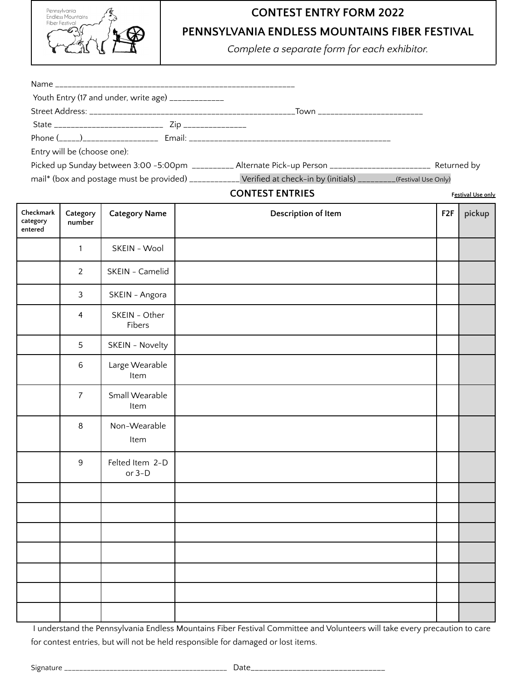

# **CONTEST ENTRY FORM 2022**

**PENNSYLVANIA ENDLESS MOUNTAINS FIBER FESTIVAL**

*Complete a separate form for each exhibitor.*

| Youth Entry (17 and under, write age) ____________                                                                   |  |
|----------------------------------------------------------------------------------------------------------------------|--|
|                                                                                                                      |  |
|                                                                                                                      |  |
|                                                                                                                      |  |
| Entry will be (choose one):                                                                                          |  |
| Picked up Sunday between 3:00 -5:00pm __________ Alternate Pick-up Person _________________________ Returned by      |  |
| mail* (box and postage must be provided) ____________ Verified at check-in by (initials) ________(Festival Use Only) |  |

#### **CONTEST ENTRIES Festival Use only**

| Checkmark<br>category<br>entered | Category<br>number | <b>Category Name</b>        | Description of Item | F <sub>2</sub> F | pickup |
|----------------------------------|--------------------|-----------------------------|---------------------|------------------|--------|
|                                  | $\mathbf{1}$       | SKEIN - Wool                |                     |                  |        |
|                                  | $\overline{2}$     | SKEIN - Camelid             |                     |                  |        |
|                                  | $\mathfrak{Z}$     | SKEIN - Angora              |                     |                  |        |
|                                  | 4                  | SKEIN - Other<br>Fibers     |                     |                  |        |
|                                  | 5                  | SKEIN - Novelty             |                     |                  |        |
|                                  | $\,6$              | Large Wearable<br>Item      |                     |                  |        |
|                                  | $\overline{7}$     | Small Wearable<br>Item      |                     |                  |        |
|                                  | $\, 8$             | Non-Wearable<br>Item        |                     |                  |        |
|                                  | $9\,$              | Felted Item 2-D<br>or $3-D$ |                     |                  |        |
|                                  |                    |                             |                     |                  |        |
|                                  |                    |                             |                     |                  |        |
|                                  |                    |                             |                     |                  |        |
|                                  |                    |                             |                     |                  |        |
|                                  |                    |                             |                     |                  |        |
|                                  |                    |                             |                     |                  |        |
|                                  |                    |                             |                     |                  |        |

I understand the Pennsylvania Endless Mountains Fiber Festival Committee and Volunteers will take every precaution to care for contest entries, but will not be held responsible for damaged or lost items.